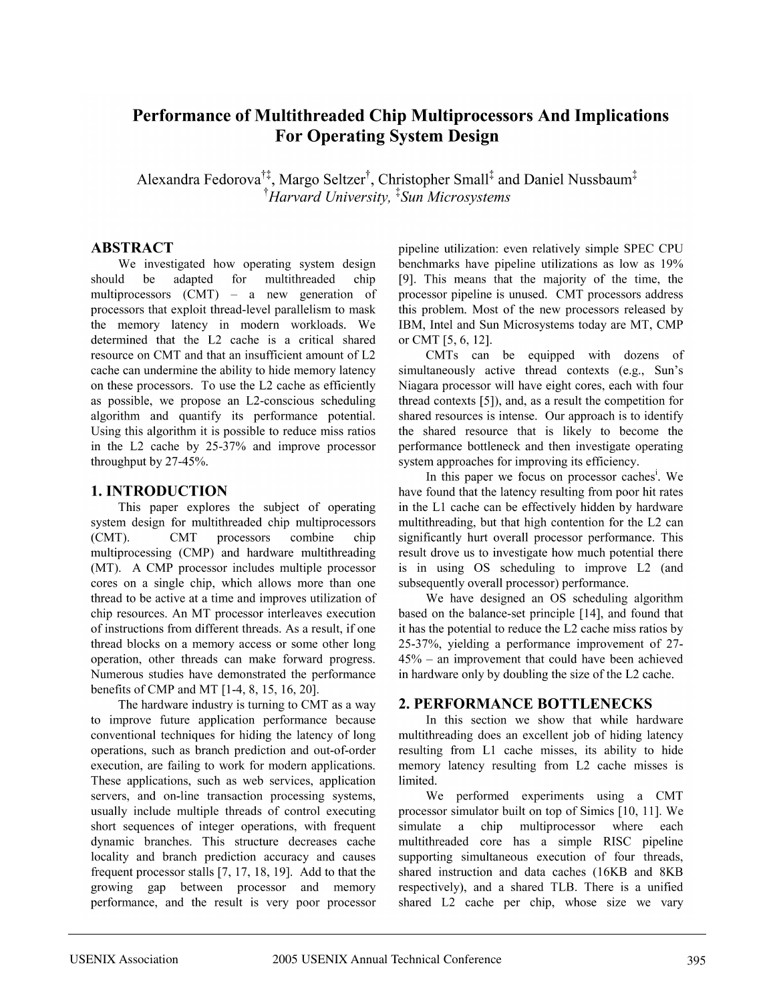# Performance of Multithreaded Chip Multiprocessors And Implications **For Operating System Design**

Alexandra Fedorova<sup>††</sup>, Margo Seltzer<sup>†</sup>, Christopher Small<sup>‡</sup> and Daniel Nussbaum<sup>‡</sup> <sup>†</sup>Harvard University, <sup>‡</sup>Sun Microsystems

## **ABSTRACT**

We investigated how operating system design should be adapted for multithreaded chip multiprocessors (CMT) – a new generation of processors that exploit thread-level parallelism to mask the memory latency in modern workloads. We determined that the L2 cache is a critical shared resource on CMT and that an insufficient amount of L2 cache can undermine the ability to hide memory latency on these processors. To use the L2 cache as efficiently as possible, we propose an L2-conscious scheduling algorithm and quantify its performance potential. Using this algorithm it is possible to reduce miss ratios in the L2 cache by 25-37% and improve processor throughput by 27-45%.

# 1. INTRODUCTION

This paper explores the subject of operating system design for multithreaded chip multiprocessors  $(CMT)$ . **CMT** processors combine chip multiprocessing (CMP) and hardware multithreading (MT). A CMP processor includes multiple processor cores on a single chip, which allows more than one thread to be active at a time and improves utilization of chip resources. An MT processor interleaves execution of instructions from different threads. As a result, if one thread blocks on a memory access or some other long operation, other threads can make forward progress. Numerous studies have demonstrated the performance benefits of CMP and MT [1-4, 8, 15, 16, 20].

The hardware industry is turning to CMT as a way to improve future application performance because conventional techniques for hiding the latency of long operations, such as branch prediction and out-of-order execution, are failing to work for modern applications. These applications, such as web services, application servers, and on-line transaction processing systems, usually include multiple threads of control executing short sequences of integer operations, with frequent dynamic branches. This structure decreases cache locality and branch prediction accuracy and causes frequent processor stalls  $[7, 17, 18, 19]$ . Add to that the growing gap between processor and memory performance, and the result is very poor processor pipeline utilization: even relatively simple SPEC CPU benchmarks have pipeline utilizations as low as 19% [9]. This means that the majority of the time, the processor pipeline is unused. CMT processors address this problem. Most of the new processors released by IBM, Intel and Sun Microsystems today are MT, CMP or CMT [5, 6, 12].

CMTs can be equipped with dozens of simultaneously active thread contexts (e.g., Sun's Niagara processor will have eight cores, each with four thread contexts [5]), and, as a result the competition for shared resources is intense. Our approach is to identify the shared resource that is likely to become the performance bottleneck and then investigate operating system approaches for improving its efficiency.

In this paper we focus on processor caches<sup>1</sup>. We have found that the latency resulting from poor hit rates in the L1 cache can be effectively hidden by hardware multithreading, but that high contention for the L2 can significantly hurt overall processor performance. This result drove us to investigate how much potential there is in using OS scheduling to improve L2 (and subsequently overall processor) performance.

We have designed an OS scheduling algorithm based on the balance-set principle [14], and found that it has the potential to reduce the L2 cache miss ratios by 25-37%, yielding a performance improvement of 27- $45\%$  – an improvement that could have been achieved in hardware only by doubling the size of the L2 cache.

# 2. PERFORMANCE BOTTLENECKS

In this section we show that while hardware multithreading does an excellent job of hiding latency resulting from L1 cache misses, its ability to hide memory latency resulting from L2 cache misses is limited.

We performed experiments using a CMT processor simulator built on top of Simics [10, 11]. We simulate a chip multiprocessor where each multithreaded core has a simple RISC pipeline supporting simultaneous execution of four threads, shared instruction and data caches (16KB and 8KB) respectively), and a shared TLB. There is a unified shared L2 cache per chip, whose size we vary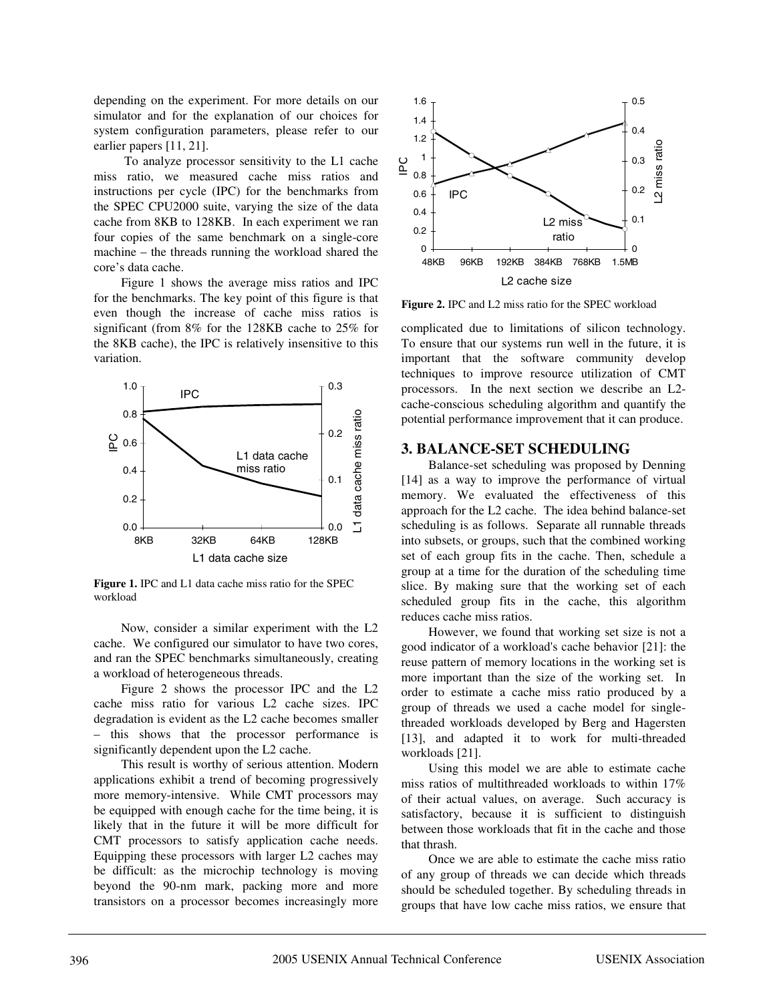depending on the experiment. For more details on our simulator and for the explanation of our choices for system configuration parameters, please refer to our earlier papers [11, 21].

To analyze processor sensitivity to the L1 cache miss ratio, we measured cache miss ratios and instructions per cycle (IPC) for the benchmarks from the SPEC CPU2000 suite, varying the size of the data cache from 8KB to 128KB. In each experiment we ran four copies of the same benchmark on a single-core machine – the threads running the workload shared the core's data cache.

Figure 1 shows the average miss ratios and IPC for the benchmarks. The key point of this figure is that even though the increase of cache miss ratios is significant (from 8% for the 128KB cache to 25% for the 8KB cache), the IPC is relatively insensitive to this variation.



**Figure 1.** IPC and L1 data cache miss ratio for the SPEC workload

Now, consider a similar experiment with the L2 cache. We configured our simulator to have two cores, and ran the SPEC benchmarks simultaneously, creating a workload of heterogeneous threads.

Figure 2 shows the processor IPC and the L2 cache miss ratio for various L2 cache sizes. IPC degradation is evident as the L2 cache becomes smaller – this shows that the processor performance is significantly dependent upon the L2 cache.

This result is worthy of serious attention. Modern applications exhibit a trend of becoming progressively more memory-intensive. While CMT processors may be equipped with enough cache for the time being, it is likely that in the future it will be more difficult for CMT processors to satisfy application cache needs. Equipping these processors with larger L2 caches may be difficult: as the microchip technology is moving beyond the 90-nm mark, packing more and more transistors on a processor becomes increasingly more



**Figure 2.** IPC and L2 miss ratio for the SPEC workload

complicated due to limitations of silicon technology. To ensure that our systems run well in the future, it is important that the software community develop techniques to improve resource utilization of CMT processors. In the next section we describe an L2 cache-conscious scheduling algorithm and quantify the potential performance improvement that it can produce.

### **3. BALANCE-SET SCHEDULING**

Balance-set scheduling was proposed by Denning [14] as a way to improve the performance of virtual memory. We evaluated the effectiveness of this approach for the L2 cache. The idea behind balance-set scheduling is as follows. Separate all runnable threads into subsets, or groups, such that the combined working set of each group fits in the cache. Then, schedule a group at a time for the duration of the scheduling time slice. By making sure that the working set of each scheduled group fits in the cache, this algorithm reduces cache miss ratios.

However, we found that working set size is not a good indicator of a workload's cache behavior [21]: the reuse pattern of memory locations in the working set is more important than the size of the working set. In order to estimate a cache miss ratio produced by a group of threads we used a cache model for singlethreaded workloads developed by Berg and Hagersten [13], and adapted it to work for multi-threaded workloads [21].

Using this model we are able to estimate cache miss ratios of multithreaded workloads to within 17% of their actual values, on average. Such accuracy is satisfactory, because it is sufficient to distinguish between those workloads that fit in the cache and those that thrash.

Once we are able to estimate the cache miss ratio of any group of threads we can decide which threads should be scheduled together. By scheduling threads in groups that have low cache miss ratios, we ensure that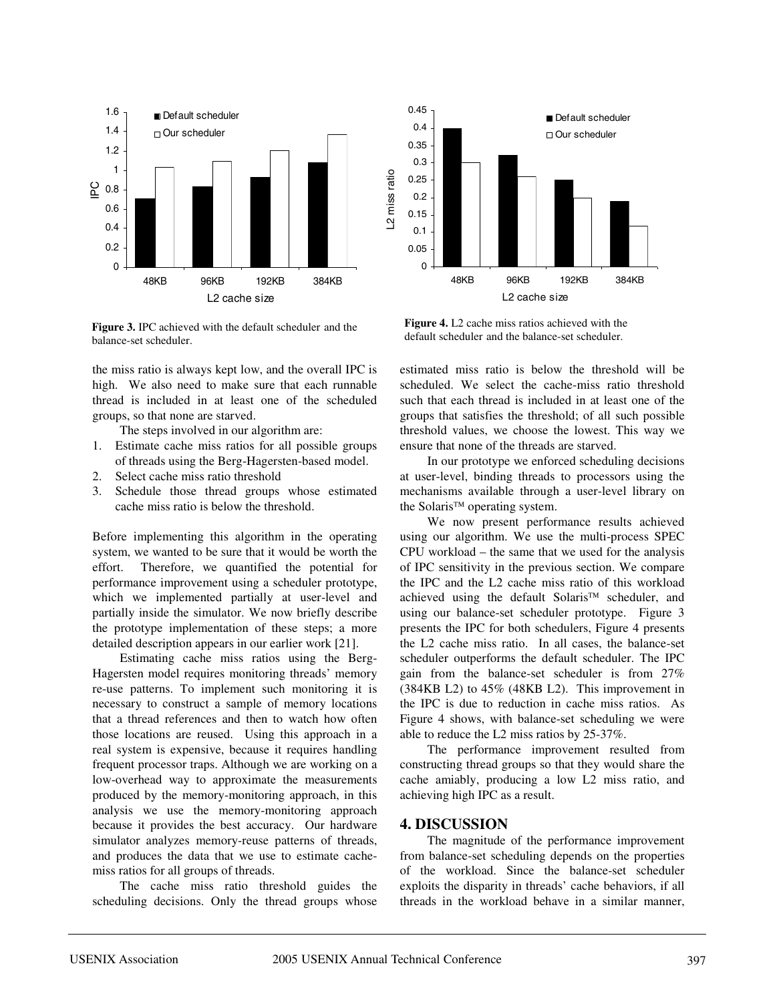

**Figure 3.** IPC achieved with the default scheduler and the balance-set scheduler.

the miss ratio is always kept low, and the overall IPC is high. We also need to make sure that each runnable thread is included in at least one of the scheduled groups, so that none are starved.

The steps involved in our algorithm are:

- 1. Estimate cache miss ratios for all possible groups of threads using the Berg-Hagersten-based model.
- 2. Select cache miss ratio threshold
- 3. Schedule those thread groups whose estimated cache miss ratio is below the threshold.

Before implementing this algorithm in the operating system, we wanted to be sure that it would be worth the effort. Therefore, we quantified the potential for performance improvement using a scheduler prototype, which we implemented partially at user-level and partially inside the simulator. We now briefly describe the prototype implementation of these steps; a more detailed description appears in our earlier work [21].

Estimating cache miss ratios using the Berg-Hagersten model requires monitoring threads' memory re-use patterns. To implement such monitoring it is necessary to construct a sample of memory locations that a thread references and then to watch how often those locations are reused. Using this approach in a real system is expensive, because it requires handling frequent processor traps. Although we are working on a low-overhead way to approximate the measurements produced by the memory-monitoring approach, in this analysis we use the memory-monitoring approach because it provides the best accuracy. Our hardware simulator analyzes memory-reuse patterns of threads, and produces the data that we use to estimate cachemiss ratios for all groups of threads.

The cache miss ratio threshold guides the scheduling decisions. Only the thread groups whose



**Figure 4.** L2 cache miss ratios achieved with the default scheduler and the balance-set scheduler.

estimated miss ratio is below the threshold will be scheduled. We select the cache-miss ratio threshold such that each thread is included in at least one of the groups that satisfies the threshold; of all such possible threshold values, we choose the lowest. This way we ensure that none of the threads are starved.

In our prototype we enforced scheduling decisions at user-level, binding threads to processors using the mechanisms available through a user-level library on the Solaris<sup> $TM$ </sup> operating system.

We now present performance results achieved using our algorithm. We use the multi-process SPEC CPU workload – the same that we used for the analysis of IPC sensitivity in the previous section. We compare the IPC and the L2 cache miss ratio of this workload achieved using the default Solaris<sup>TM</sup> scheduler, and using our balance-set scheduler prototype. Figure 3 presents the IPC for both schedulers, Figure 4 presents the L2 cache miss ratio. In all cases, the balance-set scheduler outperforms the default scheduler. The IPC gain from the balance-set scheduler is from 27% (384KB L2) to 45% (48KB L2). This improvement in the IPC is due to reduction in cache miss ratios. As Figure 4 shows, with balance-set scheduling we were able to reduce the L2 miss ratios by 25-37%.

The performance improvement resulted from constructing thread groups so that they would share the cache amiably, producing a low L2 miss ratio, and achieving high IPC as a result.

#### **4. DISCUSSION**

The magnitude of the performance improvement from balance-set scheduling depends on the properties of the workload. Since the balance-set scheduler exploits the disparity in threads' cache behaviors, if all threads in the workload behave in a similar manner,